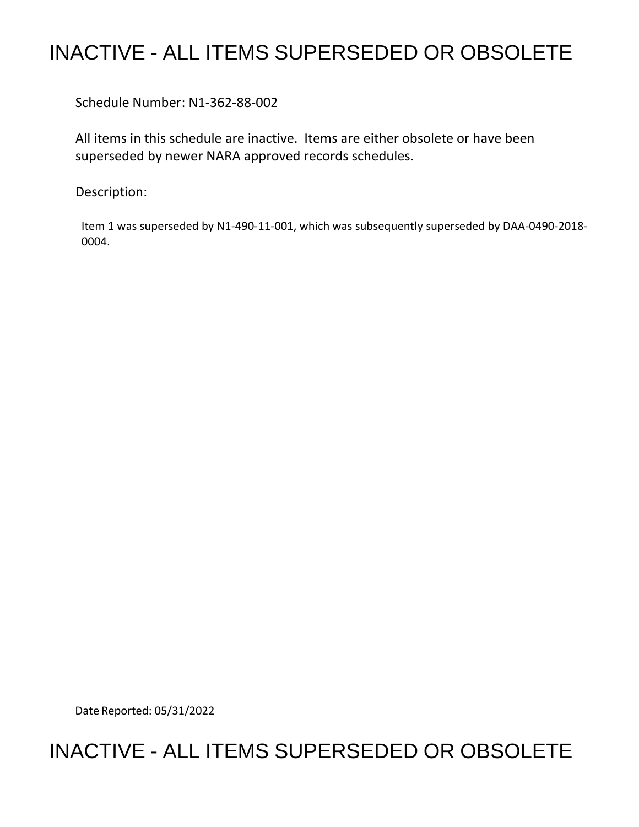## INACTIVE - ALL ITEMS SUPERSEDED OR OBSOLETE

Schedule Number: N1-362-88-002

 All items in this schedule are inactive. Items are either obsolete or have been superseded by newer NARA approved records schedules.

Description:

 Item 1 was superseded by N1-490-11-001, which was subsequently superseded by DAA-0490-2018- 0004.

Date Reported: 05/31/2022

## INACTIVE - ALL ITEMS SUPERSEDED OR OBSOLETE